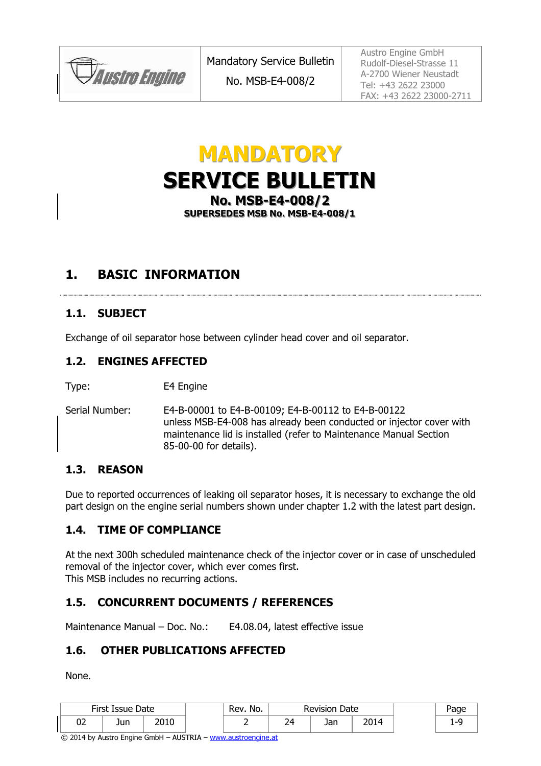

No. MSB-E4-008/2

Austro Engine GmbH Rudolf-Diesel-Strasse 11 A-2700 Wiener Neustadt Tel: +43 2622 23000 FAX: +43 2622 23000-2711

# MANDATORY SERVICE BULLETIN No. MSB-E4-008/2 SUPERSEDES MSB No. MSB-E4-008/1

### 1. BASIC INFORMATION

#### 1.1. SUBJECT

Exchange of oil separator hose between cylinder head cover and oil separator.

#### 1.2. ENGINES AFFECTED

Type: E4 Engine

Serial Number: E4-B-00001 to E4-B-00109; E4-B-00112 to E4-B-00122 unless MSB-E4-008 has already been conducted or injector cover with maintenance lid is installed (refer to Maintenance Manual Section 85-00-00 for details).

#### 1.3. REASON

Due to reported occurrences of leaking oil separator hoses, it is necessary to exchange the old part design on the engine serial numbers shown under chapter 1.2 with the latest part design.

#### 1.4. TIME OF COMPLIANCE

At the next 300h scheduled maintenance check of the injector cover or in case of unscheduled removal of the injector cover, which ever comes first. This MSB includes no recurring actions.

#### 1.5. CONCURRENT DOCUMENTS / REFERENCES

Maintenance Manual – Doc. No.: E4.08.04, latest effective issue

#### 1.6. OTHER PUBLICATIONS AFFECTED

None.

|    | First Issue Date |             | Rev. No. |                | <b>Revision Date</b> |     |     |
|----|------------------|-------------|----------|----------------|----------------------|-----|-----|
| UZ | Jun              | <b>DO10</b> |          | <u>.</u><br>__ | ۱n۲<br>Jall          | ີດ+ | . . |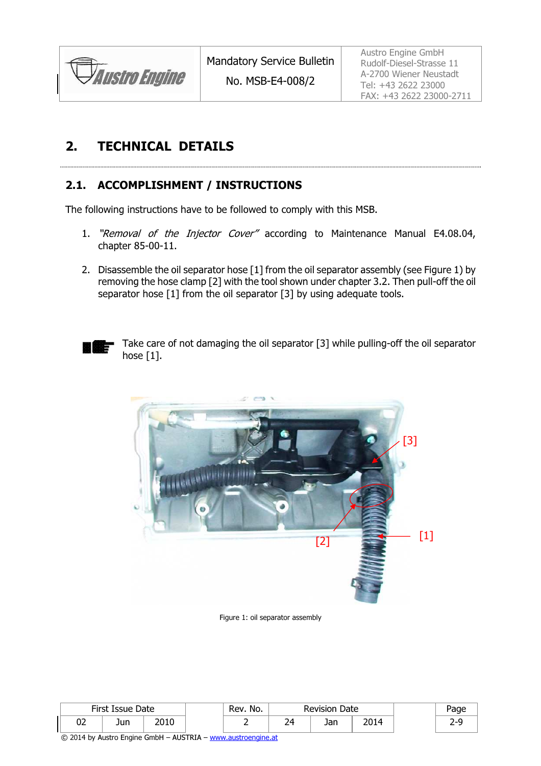

No. MSB-E4-008/2

Austro Engine GmbH Rudolf-Diesel-Strasse 11 A-2700 Wiener Neustadt Tel: +43 2622 23000 FAX: +43 2622 23000-2711

## 2. TECHNICAL DETAILS

#### 2.1. ACCOMPLISHMENT / INSTRUCTIONS

The following instructions have to be followed to comply with this MSB.

1. "Removal of the Injector Cover" according to Maintenance Manual E4.08.04, chapter 85-00-11.

2. Disassemble the oil separator hose [1] from the oil separator assembly (see Figure 1) by removing the hose clamp [2] with the tool shown under chapter 3.2. Then pull-off the oil separator hose [1] from the oil separator [3] by using adequate tools.



Take care of not damaging the oil separator [3] while pulling-off the oil separator hose  $[1]$ .



Figure 1: oil separator assembly

|    | First Issue Date |       | No.<br>Rev. |                | <b>Revision Date</b> |       | aae |
|----|------------------|-------|-------------|----------------|----------------------|-------|-----|
| UZ | Jun              | ∩ ו∩ר |             | າ4<br><u>_</u> | Jan                  | י ו∩ר |     |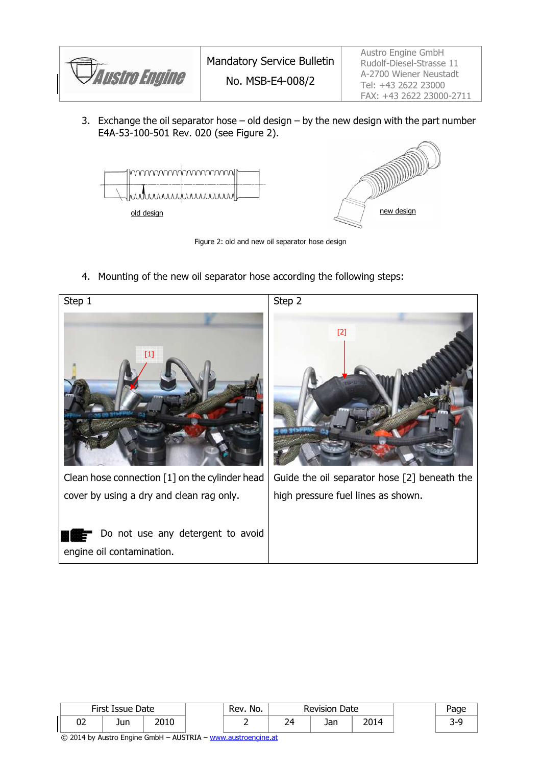

3. Exchange the oil separator hose  $-$  old design  $-$  by the new design with the part number E4A-53-100-501 Rev. 020 (see Figure 2).



Figure 2: old and new oil separator hose design

4. Mounting of the new oil separator hose according the following steps:



|    | First Issue Date |       | Rev. No. |    | Date<br><b>Revision</b> |     |  |
|----|------------------|-------|----------|----|-------------------------|-----|--|
| ◡▵ | Jun              | ∩ ו∩ר |          | ົາ | Jan                     | 201 |  |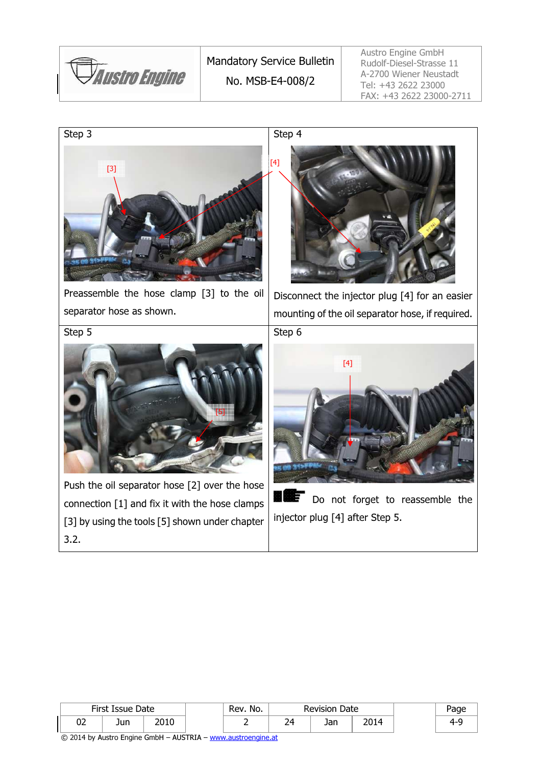

Austro Engine GmbH Rudolf-Diesel-Strasse 11 A-2700 Wiener Neustadt Tel: +43 2622 23000 FAX: +43 2622 23000-2711



|          | First Issue Date |      | No.<br>Rev. | <b>Revision Date</b> |            | Page |     |
|----------|------------------|------|-------------|----------------------|------------|------|-----|
| רח<br>∪∠ | Jun              | 2010 |             | 74.<br><u>_</u>      | Ion<br>JaH | 2014 | 4-4 |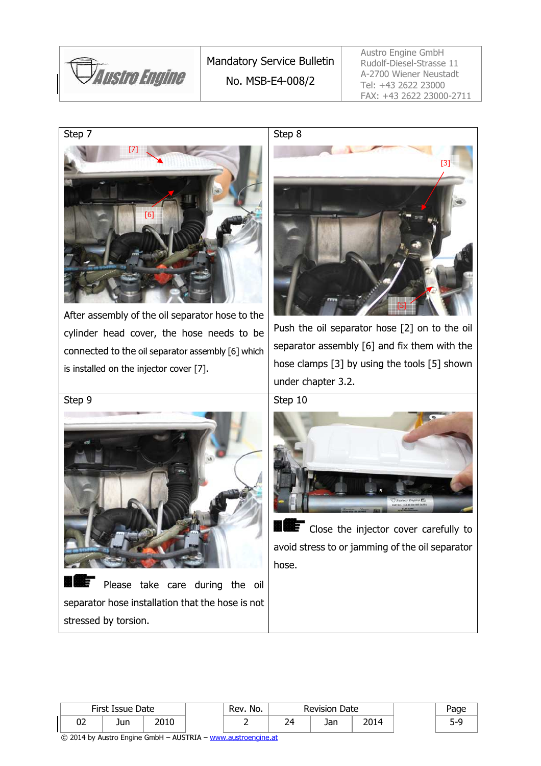

Mandatory Service Bulletin No. MSB-E4-008/2

Austro Engine GmbH Rudolf-Diesel-Strasse 11 A-2700 Wiener Neustadt Tel: +43 2622 23000 FAX: +43 2622 23000-2711

Step 7



After assembly of the oil separator hose to the cylinder head cover, the hose needs to be connected to the oil separator assembly [6] which is installed on the injector cover [7].



Push the oil separator hose [2] on to the oil separator assembly [6] and fix them with the hose clamps [3] by using the tools [5] shown under chapter 3.2.

Step 10



 $\blacksquare$  Close the injector cover carefully to avoid stress to or jamming of the oil separator hose.

| $\sim$ |  |  |
|--------|--|--|
|        |  |  |
|        |  |  |
|        |  |  |
|        |  |  |
|        |  |  |

Step 9



Please take care during the oil separator hose installation that the hose is not stressed by torsion.

|          | First Issue Date |      | Rev. No. |                     | <b>Revision Date</b> |     |  |
|----------|------------------|------|----------|---------------------|----------------------|-----|--|
| ~~<br>୰୵ | Jun              | วกรก |          | ∽<br>١Δ<br><u>_</u> | 122<br>JaH           | ו∩ר |  |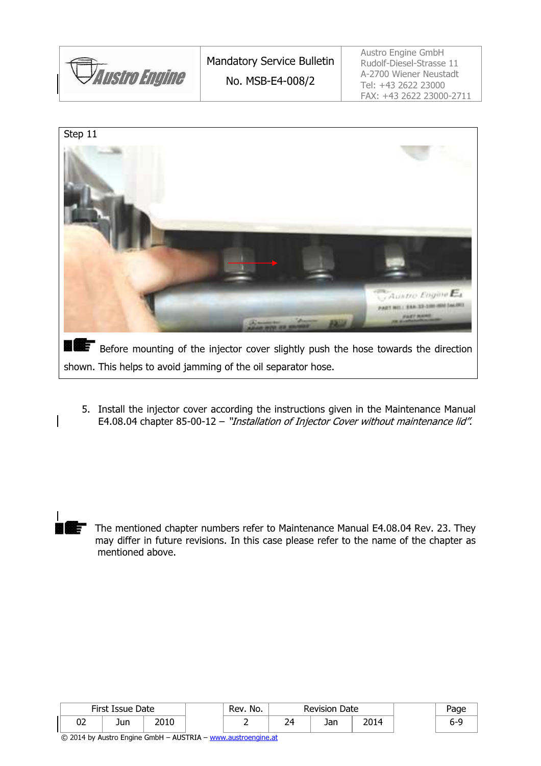

Austro Engine GmbH Rudolf-Diesel-Strasse 11 A-2700 Wiener Neustadt Tel: +43 2622 23000 FAX: +43 2622 23000-2711



5. Install the injector cover according the instructions given in the Maintenance Manual E4.08.04 chapter 85-00-12 – "Installation of Injector Cover without maintenance lid".

The mentioned chapter numbers refer to Maintenance Manual E4.08.04 Rev. 23. They may differ in future revisions. In this case please refer to the name of the chapter as mentioned above.

|    | First Issue Date |      | Rev. No. |    | <b>Revision Date</b> |     |  |  |
|----|------------------|------|----------|----|----------------------|-----|--|--|
| ◡▵ | Jun              | 2010 |          | 24 | Jan                  | 201 |  |  |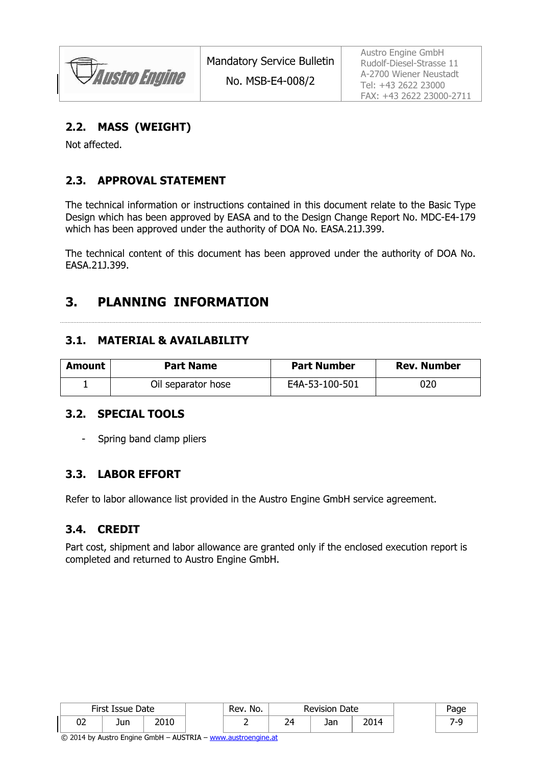**Austro Engine** 

No. MSB-E4-008/2

Austro Engine GmbH Rudolf-Diesel-Strasse 11 A-2700 Wiener Neustadt Tel: +43 2622 23000 FAX: +43 2622 23000-2711

#### 2.2. MASS (WEIGHT)

Not affected.

### 2.3. APPROVAL STATEMENT

The technical information or instructions contained in this document relate to the Basic Type Design which has been approved by EASA and to the Design Change Report No. MDC-E4-179 which has been approved under the authority of DOA No. EASA.21J.399.

The technical content of this document has been approved under the authority of DOA No. EASA.21J.399.

### 3. PLANNING INFORMATION

#### 3.1. MATERIAL & AVAILABILITY

| Amount | <b>Part Name</b>   | <b>Part Number</b> | <b>Rev. Number</b> |
|--------|--------------------|--------------------|--------------------|
|        | Oil separator hose | E4A-53-100-501     | 020                |

#### 3.2. SPECIAL TOOLS

Spring band clamp pliers

#### 3.3. LABOR EFFORT

Refer to labor allowance list provided in the Austro Engine GmbH service agreement.

#### 3.4. CREDIT

Part cost, shipment and labor allowance are granted only if the enclosed execution report is completed and returned to Austro Engine GmbH.

|    | First Issue Date |      | Rev. No. |          | <b>Revision Date</b> |      | auc• |
|----|------------------|------|----------|----------|----------------------|------|------|
| 02 | Jun              | 2010 |          | י ה<br>_ | Jan                  | 2014 |      |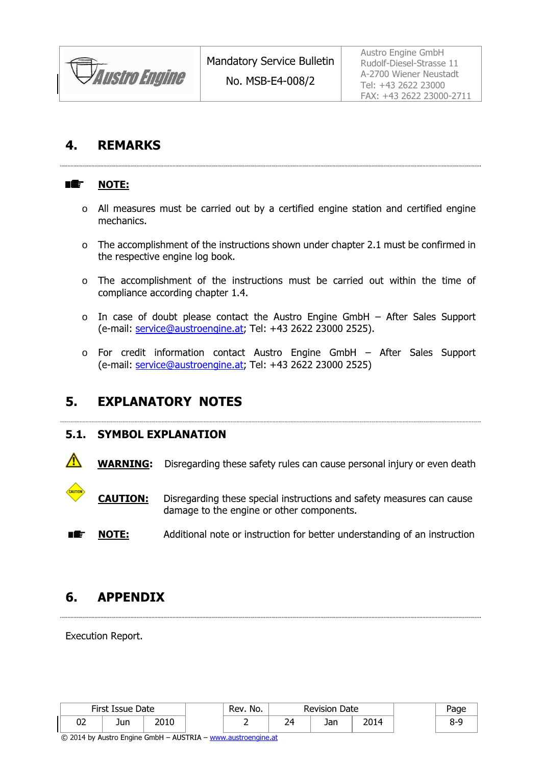

### 4. REMARKS

#### ■鑑 NOTE:

o All measures must be carried out by a certified engine station and certified engine mechanics.

- o The accomplishment of the instructions shown under chapter 2.1 must be confirmed in the respective engine log book.
- o The accomplishment of the instructions must be carried out within the time of compliance according chapter 1.4.
- o In case of doubt please contact the Austro Engine GmbH After Sales Support (e-mail: service@austroengine.at; Tel: +43 2622 23000 2525).
- o For credit information contact Austro Engine GmbH After Sales Support (e-mail: service@austroengine.at; Tel: +43 2622 23000 2525)

### 5. EXPLANATORY NOTES

#### 5.1. SYMBOL EXPLANATION

WARNING: Disregarding these safety rules can cause personal injury or even death

**CAUTION:** Disregarding these special instructions and safety measures can cause damage to the engine or other components.

**NOTE:** Additional note or instruction for better understanding of an instruction n æ-

### 6. APPENDIX

Execution Report.

|          | First Issue Date |      | No.<br>Rev. |          | <b>Revision Date</b> |      | Page |
|----------|------------------|------|-------------|----------|----------------------|------|------|
| ~~<br>◡∠ | Jun              | 2010 | -           | ⊿ ר<br>_ | 1 – r<br>Jall        | 2014 |      |